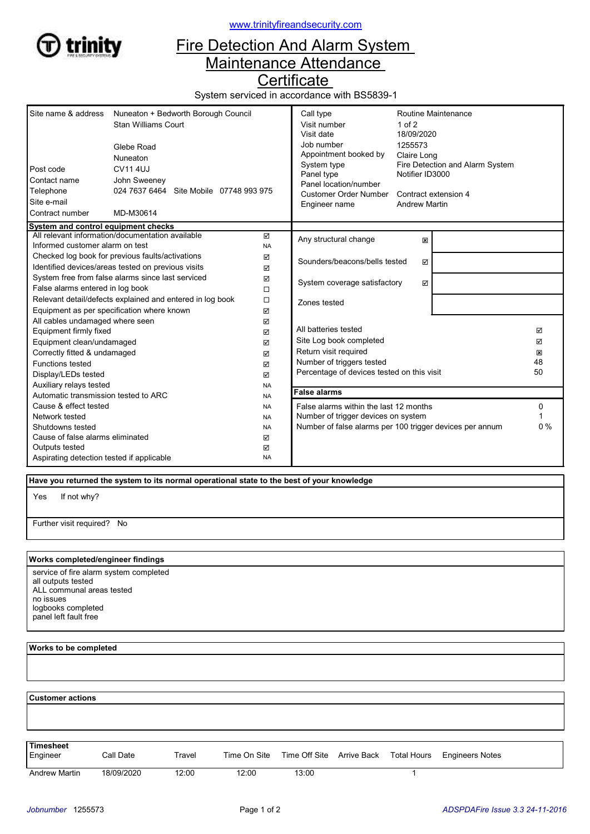

www.trinityfireandsecurity.com

## Fire Detection And Alarm System Maintenance Attendance

**Certificate** 

System serviced in accordance with BS5839-1

| Site name & address<br>Nuneaton + Bedworth Borough Council<br><b>Stan Williams Court</b><br>Glebe Road<br>Nuneaton<br><b>CV114UJ</b><br>Post code<br>Contact name<br>John Sweeney<br>024 7637 6464 Site Mobile 07748 993 975<br>Telephone<br>Site e-mail<br>Contract number<br>MD-M30614 |           | Call type<br>Visit number<br>Visit date<br>Job number<br>Appointment booked by<br>System type<br>Panel type<br>Panel location/number<br>Customer Order Number<br>Engineer name | $1$ of $2$<br>18/09/2020<br>1255573<br>Claire Long<br>Notifier ID3000<br><b>Andrew Martin</b> | Routine Maintenance<br>Fire Detection and Alarm System<br>Contract extension 4 |  |
|------------------------------------------------------------------------------------------------------------------------------------------------------------------------------------------------------------------------------------------------------------------------------------------|-----------|--------------------------------------------------------------------------------------------------------------------------------------------------------------------------------|-----------------------------------------------------------------------------------------------|--------------------------------------------------------------------------------|--|
| System and control equipment checks<br>All relevant information/documentation available                                                                                                                                                                                                  | ☑         |                                                                                                                                                                                |                                                                                               |                                                                                |  |
| Informed customer alarm on test                                                                                                                                                                                                                                                          | <b>NA</b> | Any structural change<br>図                                                                                                                                                     |                                                                                               |                                                                                |  |
| Checked log book for previous faults/activations                                                                                                                                                                                                                                         | ☑         | Sounders/beacons/bells tested                                                                                                                                                  |                                                                                               |                                                                                |  |
| Identified devices/areas tested on previous visits                                                                                                                                                                                                                                       |           | ☑                                                                                                                                                                              |                                                                                               |                                                                                |  |
| System free from false alarms since last serviced                                                                                                                                                                                                                                        |           | System coverage satisfactory<br>☑                                                                                                                                              |                                                                                               |                                                                                |  |
| False alarms entered in log book                                                                                                                                                                                                                                                         |           |                                                                                                                                                                                |                                                                                               |                                                                                |  |
| Relevant detail/defects explained and entered in log book                                                                                                                                                                                                                                |           | Zones tested                                                                                                                                                                   |                                                                                               |                                                                                |  |
| Equipment as per specification where known<br>☑                                                                                                                                                                                                                                          |           |                                                                                                                                                                                |                                                                                               |                                                                                |  |
| All cables undamaged where seen<br>☑                                                                                                                                                                                                                                                     |           |                                                                                                                                                                                |                                                                                               |                                                                                |  |
| Equipment firmly fixed<br>☑<br>☑                                                                                                                                                                                                                                                         |           | All batteries tested                                                                                                                                                           |                                                                                               | ☑                                                                              |  |
| Equipment clean/undamaged                                                                                                                                                                                                                                                                |           | Site Log book completed                                                                                                                                                        |                                                                                               | ☑                                                                              |  |
| Correctly fitted & undamaged<br>☑                                                                                                                                                                                                                                                        |           | Return visit required                                                                                                                                                          |                                                                                               | ×                                                                              |  |
| <b>Functions tested</b><br>☑                                                                                                                                                                                                                                                             |           | Number of triggers tested                                                                                                                                                      |                                                                                               | 48                                                                             |  |
| Display/LEDs tested<br>$\boxtimes$                                                                                                                                                                                                                                                       |           | Percentage of devices tested on this visit                                                                                                                                     |                                                                                               | 50                                                                             |  |
| Auxiliary relays tested<br><b>NA</b>                                                                                                                                                                                                                                                     |           | <b>False alarms</b>                                                                                                                                                            |                                                                                               |                                                                                |  |
| Automatic transmission tested to ARC<br><b>NA</b>                                                                                                                                                                                                                                        |           |                                                                                                                                                                                |                                                                                               |                                                                                |  |
| Cause & effect tested<br><b>NA</b>                                                                                                                                                                                                                                                       |           | False alarms within the last 12 months                                                                                                                                         |                                                                                               | 0                                                                              |  |
| Network tested<br><b>NA</b><br><b>NA</b>                                                                                                                                                                                                                                                 |           | Number of trigger devices on system<br>Number of false alarms per 100 trigger devices per annum                                                                                |                                                                                               | 0%                                                                             |  |
| Shutdowns tested<br>Cause of false alarms eliminated                                                                                                                                                                                                                                     |           |                                                                                                                                                                                |                                                                                               |                                                                                |  |
| Outputs tested                                                                                                                                                                                                                                                                           | ☑<br>☑    |                                                                                                                                                                                |                                                                                               |                                                                                |  |
| Aspirating detection tested if applicable                                                                                                                                                                                                                                                | <b>NA</b> |                                                                                                                                                                                |                                                                                               |                                                                                |  |

Have you returned the system to its normal operational state to the best of your knowledge

If not why? Yes

Further visit required? No

## Works completed/engineer findings

service of fire alarm system completed all outputs tested ALL communal areas tested no issues logbooks completed panel left fault free

Works to be completed

 Customer actions Engineer Call Date Travel Time On Site Time Off Site Arrive Back Total Hours Engineers Notes **Timesheet** Andrew Martin 18/09/2020 12:00 12:00 13:00 13:00 1